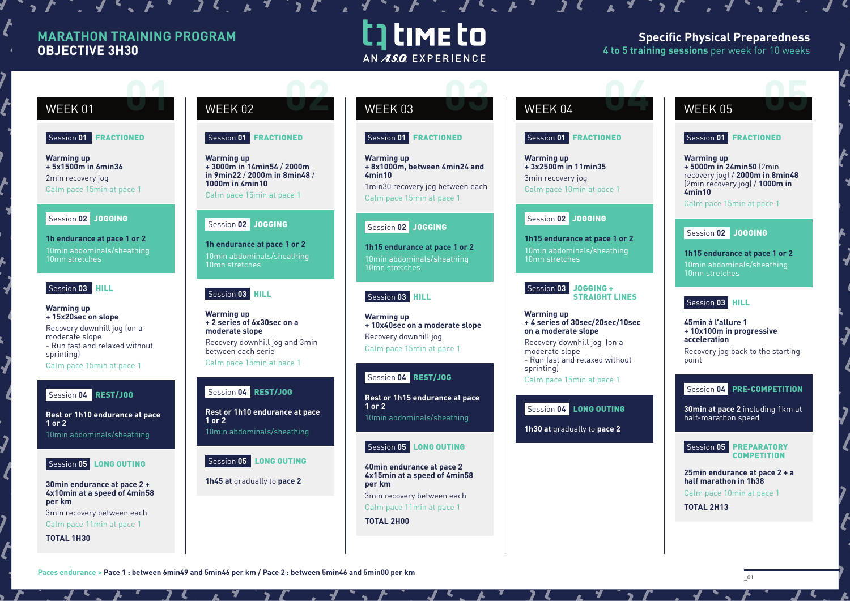# **MARATHON TRAINING PROGRAM OBJECTIVE 3H30**

# t] time to AN ASO EXPERIENCE

 $\mathbf{1} \cdot \mathbf{1} \cdot \mathbf{1} \cdot \mathbf{1} \cdot \mathbf{1} \cdot \mathbf{1} \cdot \mathbf{1} \cdot \mathbf{1} \cdot \mathbf{1} \cdot \mathbf{1} \cdot \mathbf{1} \cdot \mathbf{1} \cdot \mathbf{1} \cdot \mathbf{1} \cdot \mathbf{1} \cdot \mathbf{1} \cdot \mathbf{1} \cdot \mathbf{1} \cdot \mathbf{1} \cdot \mathbf{1} \cdot \mathbf{1} \cdot \mathbf{1} \cdot \mathbf{1} \cdot \mathbf{1} \cdot \mathbf{1} \cdot \mathbf{1} \cdot \mathbf{1} \cdot \mathbf{$ 

### **Specific Physical Preparedness 4 to 5 training sessions** per week for 10 weeks

 $\boldsymbol{v}$ 

### Session **01** FRACTIONED

**Warming up + 5x1500m in 6min36** 2min recovery jog Calm pace 15min at pace 1

### Session **02** JOGGING

**1h endurance at pace 1 or 2** 10min abdominals/sheathing 10mn stretches

### Session **03** HILL

**Warming up + 15x20sec on slope** Recovery downhill jog (on a moderate slope - Run fast and relaxed without sprinting) Calm pace 15min at pace 1

### Session **04** REST/JOG

**Rest or 1h10 endurance at pace 1 or 2**

10min abdominals/sheathing



### **30min endurance at pace 2 + 4x10min at a speed of 4min58 per km**

3min recovery between each Calm pace 11min at pace 1

**TOTAL 1H30**

# WEEK 01 WEEK 02 WEEK 03 WEEK 04 WEEK 05 **02 0 02 03 02 03 02 03 02 03 02 03 02 04 05 05 05 05**

### Session **01** FRACTIONED

**Warming up + 3000m in 14min54** / **2000m in 9min22** / **2000m in 8min48** / **1000m in 4min10** Calm pace 15min at pace 1

### Session **02** JOGGING

**1h endurance at pace 1 or 2** 10min abdominals/sheathing 10mn stretches

### Session **03** HILL

**Warming up + 2 series of 6x30sec on a moderate slope**  Recovery downhill jog and 3min between each serie Calm pace 15min at pace 1

### Session **04** REST/JOG

**Rest or 1h10 endurance at pace 1 or 2** 10min abdominals/sheathing

### Session **05** LONG OUTING

**1h45 at** gradually to **pace 2**

### Session **01** FRACTIONED

**Warming up + 8x1000m, between 4min24 and 4min10**  1min30 recovery jog between each

Calm pace 15min at pace 1

### Session **02** JOGGING

**1h15 endurance at pace 1 or 2** 10mn stretches

### Session **03** HILL

**Warming up + 10x40sec on a moderate slope** Recovery downhill jog Calm pace 15min at pace 1

### Session **04** REST/JOG

**Rest or 1h15 endurance at pace 1 or 2** 10min abdominals/sheathing

### Session **05** LONG OUTING

**40min endurance at pace 2 4x15min at a speed of 4min58 per km** 3min recovery between each

Calm pace 11min at pace 1

**TOTAL 2H00**

### Session **01** FRACTIONED

**Warming up + 3x2500m in 11min35**  3min recovery jog Calm pace 10min at pace 1

### Session **02** JOGGING

**1h15 endurance at pace 1 or 2** 10min abdominals/sheathing 10mn stretches

Session **03** JOGGING + STRAIGHT LINES

**Warming up + 4 series of 30sec/20sec/10sec on a moderate slope**

Recovery downhill jog (on a moderate slope - Run fast and relaxed without sprinting) Calm pace 15min at pace 1

Session **04** LONG OUTING

**1h30 at** gradually to **pace 2**

## Session **01** FRACTIONED

**Warming up + 5000m in 24min50** (2min recovery jog) / **2000m in 8min48**  (2min recovery jog) / **1000m in 4min10**

Calm pace 15min at pace 1

# Session **02** JOGGING

**1h15 endurance at pace 1 or 2** 10min abdominals/sheathing 10mn stretches

### Session **03** HILL

**45min à l'allure 1 + 10x100m in progressive acceleration** Recovery jog back to the starting point

### Session **04** PRE-COMPETITION

**30min at pace 2** including 1km at half-marathon speed



**25min endurance at pace 2 + a half marathon in 1h38** Calm pace 10min at pace 1

**TOTAL 2H13**



**COMPETITION**